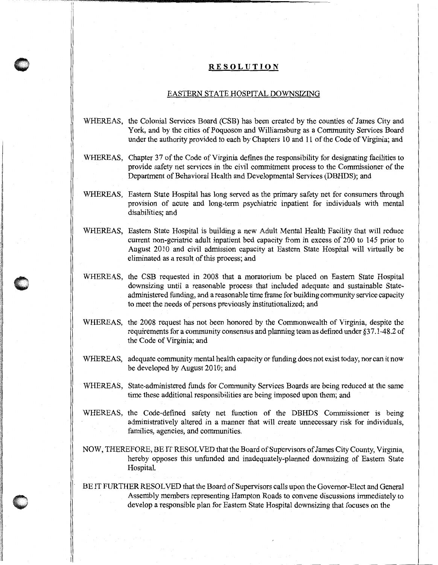## **RESOLUTION**

## EASTERN STATE HOSPITAL DOWNSIZING

- WHEREAS, the Colonial Services Board (CSB) has been created by the counties of James City and Yark, and by the cities of Poquoson and Williamsburg as a Community Services Board under the authority provided to each by Chapters 10 and 11 of the Code of Virginia; and
- WHEREAS, Chapter 37 of the Code of Virginia defines the responsibility for designating facilities to provide safety net services in the civil commitment process to the Commissioner of the Department of Behavioral Health and Developmental Services (DBHDS); and
- WHEREAS, Eastern State Hospital has long served as the primary safety net for consumers through provision of acute and long-term psychiatric inpatient for individuals with mental disabilities; and
- WHEREAS, Eastern State Hospital is building a new Adult Mental Health Facility that will reduce current non-geriatric adult inpatient bed capacity from in excess of 200 to 145 prior to August 2010 and civil admission capacity at Eastern State Hospital will virtually be eliminated as a result of this process; and
- WHEREAS, the CSB requested in 2008 that a moratorium be placed on Eastern State Hospital downsizing until a reasonable process that included adequate and sustainable Stateadministered funding, and a reasonable time frame for building community service capacity to meet the needs of persons previously institutionalized; and
- WHEREAS, the 2008 request has not been honored by the Commonwealth of Virginia, despite the requirements for a community consensus and planning team as defined under §3 7 .1-48.2 of the Code of Virginia; and
- WHEREAS, adequate community mental health capacity or funding does not exist today, nor can it now be developed by August 2010; and
- WHEREAS, State-administered funds for Community Services Boards are being reduced at the same time these additional responsibilities are being imposed upon them; and
- WHEREAS, the Code-defined safety net function of the DBHDS Commissioner is being administratively altered in a manner that will create unnecessary risk for individuals, families, agencies, and communities.
- NOW, THEREFORE, BE IT RESOLVED that the Board of Supervisors of James City County, Virginia, hereby opposes this unfunded and inadequately-planned downsizing of Eastern State Hospital.
- BE IT FURTHER RESOLVED that the Board of Supervisors calls upon the Governor-Elect and General Assembly members representing Hampton Roads to convene discussions immediately to develop a responsible plan for Eastern State Hospital downsizing that focuses on the